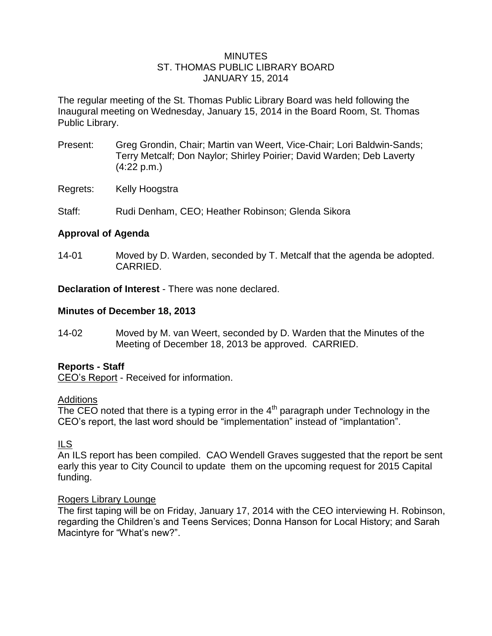### MINUTES ST. THOMAS PUBLIC LIBRARY BOARD JANUARY 15, 2014

The regular meeting of the St. Thomas Public Library Board was held following the Inaugural meeting on Wednesday, January 15, 2014 in the Board Room, St. Thomas Public Library.

- Present: Greg Grondin, Chair; Martin van Weert, Vice-Chair; Lori Baldwin-Sands; Terry Metcalf; Don Naylor; Shirley Poirier; David Warden; Deb Laverty (4:22 p.m.)
- Regrets: Kelly Hoogstra
- Staff: Rudi Denham, CEO; Heather Robinson; Glenda Sikora

# **Approval of Agenda**

14-01 Moved by D. Warden, seconded by T. Metcalf that the agenda be adopted. CARRIED.

**Declaration of Interest** - There was none declared.

### **Minutes of December 18, 2013**

14-02 Moved by M. van Weert, seconded by D. Warden that the Minutes of the Meeting of December 18, 2013 be approved. CARRIED.

## **Reports - Staff**

CEO's Report - Received for information.

## **Additions**

The CEO noted that there is a typing error in the  $4<sup>th</sup>$  paragraph under Technology in the CEO's report, the last word should be "implementation" instead of "implantation".

# ILS

An ILS report has been compiled. CAO Wendell Graves suggested that the report be sent early this year to City Council to update them on the upcoming request for 2015 Capital funding.

## Rogers Library Lounge

The first taping will be on Friday, January 17, 2014 with the CEO interviewing H. Robinson, regarding the Children's and Teens Services; Donna Hanson for Local History; and Sarah Macintyre for "What's new?".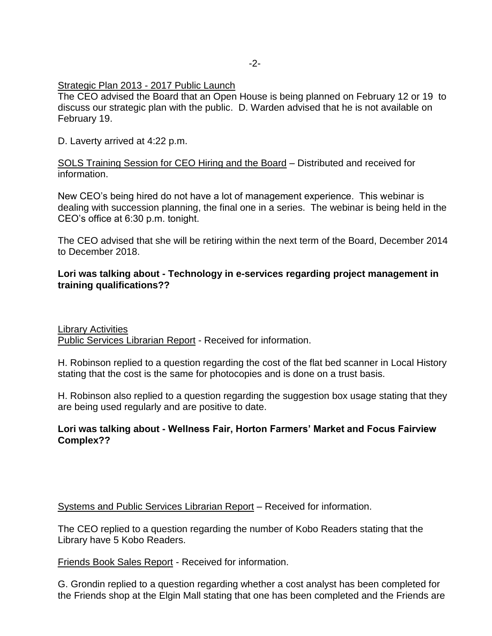### Strategic Plan 2013 - 2017 Public Launch

The CEO advised the Board that an Open House is being planned on February 12 or 19 to discuss our strategic plan with the public. D. Warden advised that he is not available on February 19.

D. Laverty arrived at 4:22 p.m.

SOLS Training Session for CEO Hiring and the Board – Distributed and received for information.

New CEO's being hired do not have a lot of management experience. This webinar is dealing with succession planning, the final one in a series. The webinar is being held in the CEO's office at 6:30 p.m. tonight.

The CEO advised that she will be retiring within the next term of the Board, December 2014 to December 2018.

## **Lori was talking about - Technology in e-services regarding project management in training qualifications??**

Library Activities Public Services Librarian Report - Received for information.

H. Robinson replied to a question regarding the cost of the flat bed scanner in Local History stating that the cost is the same for photocopies and is done on a trust basis.

H. Robinson also replied to a question regarding the suggestion box usage stating that they are being used regularly and are positive to date.

## **Lori was talking about - Wellness Fair, Horton Farmers' Market and Focus Fairview Complex??**

Systems and Public Services Librarian Report – Received for information.

The CEO replied to a question regarding the number of Kobo Readers stating that the Library have 5 Kobo Readers.

Friends Book Sales Report - Received for information.

G. Grondin replied to a question regarding whether a cost analyst has been completed for the Friends shop at the Elgin Mall stating that one has been completed and the Friends are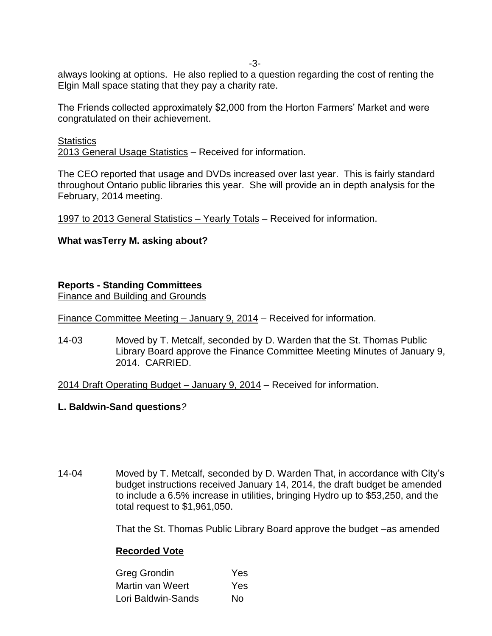-3-

always looking at options. He also replied to a question regarding the cost of renting the Elgin Mall space stating that they pay a charity rate.

The Friends collected approximately \$2,000 from the Horton Farmers' Market and were congratulated on their achievement.

**Statistics** 2013 General Usage Statistics – Received for information.

The CEO reported that usage and DVDs increased over last year. This is fairly standard throughout Ontario public libraries this year. She will provide an in depth analysis for the February, 2014 meeting.

1997 to 2013 General Statistics – Yearly Totals – Received for information.

# **What wasTerry M. asking about?**

# **Reports - Standing Committees**

Finance and Building and Grounds

Finance Committee Meeting – January 9, 2014 – Received for information.

14-03 Moved by T. Metcalf, seconded by D. Warden that the St. Thomas Public Library Board approve the Finance Committee Meeting Minutes of January 9, 2014. CARRIED.

2014 Draft Operating Budget – January 9, 2014 – Received for information.

## **L. Baldwin-Sand questions***?*

14-04 Moved by T. Metcalf*,* seconded by D. Warden That, in accordance with City's budget instructions received January 14, 2014, the draft budget be amended to include a 6.5% increase in utilities, bringing Hydro up to \$53,250, and the total request to \$1,961,050.

That the St. Thomas Public Library Board approve the budget –as amended

# **Recorded Vote**

| Greg Grondin       | Yes |  |
|--------------------|-----|--|
| Martin van Weert   | Yes |  |
| Lori Baldwin-Sands | No. |  |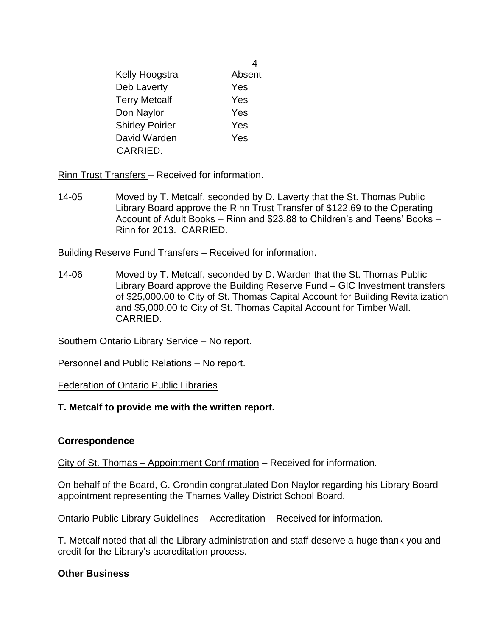|                        | -4-    |  |
|------------------------|--------|--|
| Kelly Hoogstra         | Absent |  |
| Deb Laverty            | Yes    |  |
| <b>Terry Metcalf</b>   | Yes    |  |
| Don Naylor             | Yes    |  |
| <b>Shirley Poirier</b> | Yes    |  |
| David Warden           | Yes    |  |
| CARRIED.               |        |  |

Rinn Trust Transfers – Received for information.

14-05 Moved by T. Metcalf, seconded by D. Laverty that the St. Thomas Public Library Board approve the Rinn Trust Transfer of \$122.69 to the Operating Account of Adult Books – Rinn and \$23.88 to Children's and Teens' Books – Rinn for 2013. CARRIED.

Building Reserve Fund Transfers – Received for information.

14-06 Moved by T. Metcalf, seconded by D. Warden that the St. Thomas Public Library Board approve the Building Reserve Fund – GIC Investment transfers of \$25,000.00 to City of St. Thomas Capital Account for Building Revitalization and \$5,000.00 to City of St. Thomas Capital Account for Timber Wall. CARRIED.

Southern Ontario Library Service – No report.

Personnel and Public Relations – No report.

Federation of Ontario Public Libraries

## **T. Metcalf to provide me with the written report.**

## **Correspondence**

City of St. Thomas – Appointment Confirmation – Received for information.

On behalf of the Board, G. Grondin congratulated Don Naylor regarding his Library Board appointment representing the Thames Valley District School Board.

Ontario Public Library Guidelines – Accreditation – Received for information.

T. Metcalf noted that all the Library administration and staff deserve a huge thank you and credit for the Library's accreditation process.

## **Other Business**